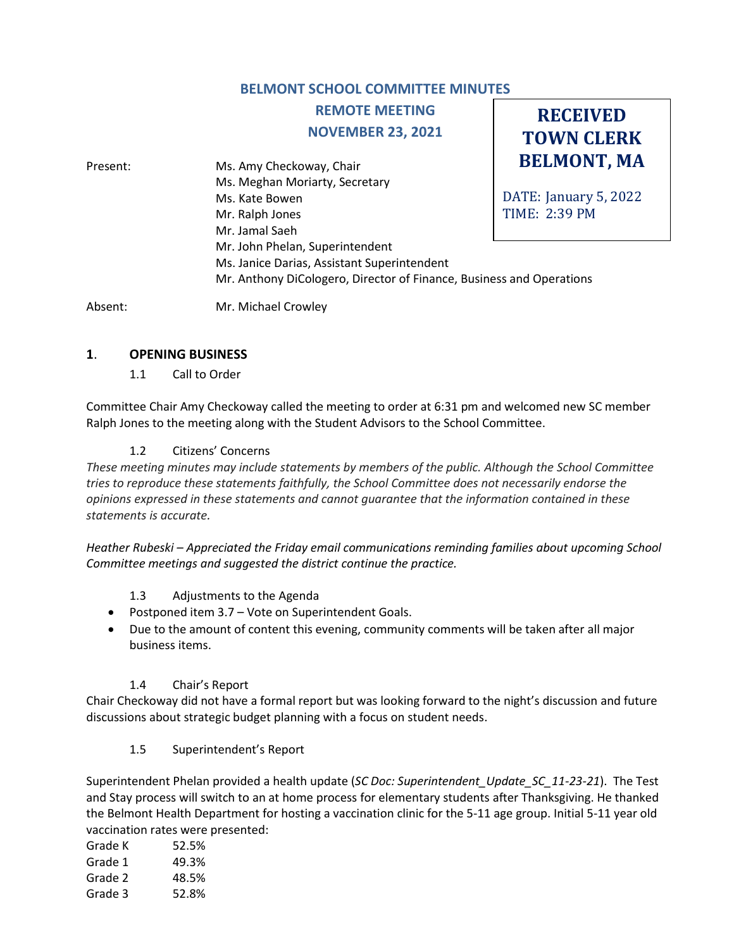# **BELMONT SCHOOL COMMITTEE MINUTES**

# **REMOTE MEETING NOVEMBER 23, 2021**

**RECEIVED TOWN CLERK**

**BELMONT, MA** DATE: January 5, 2022 TIME: 2:39 PM Present: Ms. Amy Checkoway, Chair Ms. Meghan Moriarty, Secretary Ms. Kate Bowen Mr. Ralph Jones Mr. Jamal Saeh Mr. John Phelan, Superintendent Ms. Janice Darias, Assistant Superintendent Mr. Anthony DiCologero, Director of Finance, Business and Operations

Absent: Mr. Michael Crowley

## **1**. **OPENING BUSINESS**

1.1 Call to Order

Committee Chair Amy Checkoway called the meeting to order at 6:31 pm and welcomed new SC member Ralph Jones to the meeting along with the Student Advisors to the School Committee.

## 1.2 Citizens' Concerns

*These meeting minutes may include statements by members of the public. Although the School Committee tries to reproduce these statements faithfully, the School Committee does not necessarily endorse the opinions expressed in these statements and cannot guarantee that the information contained in these statements is accurate.*

*Heather Rubeski – Appreciated the Friday email communications reminding families about upcoming School Committee meetings and suggested the district continue the practice.*

- 1.3 Adjustments to the Agenda
- Postponed item 3.7 Vote on Superintendent Goals.
- Due to the amount of content this evening, community comments will be taken after all major business items.

## 1.4 Chair's Report

Chair Checkoway did not have a formal report but was looking forward to the night's discussion and future discussions about strategic budget planning with a focus on student needs.

#### 1.5 Superintendent's Report

Superintendent Phelan provided a health update (*SC Doc: Superintendent\_Update\_SC\_11-23-21*). The Test and Stay process will switch to an at home process for elementary students after Thanksgiving. He thanked the Belmont Health Department for hosting a vaccination clinic for the 5-11 age group. Initial 5-11 year old vaccination rates were presented:

| Grade K | 52.5% |
|---------|-------|
| Grade 1 | 49.3% |
| Grade 2 | 48.5% |
| Grade 3 | 52.8% |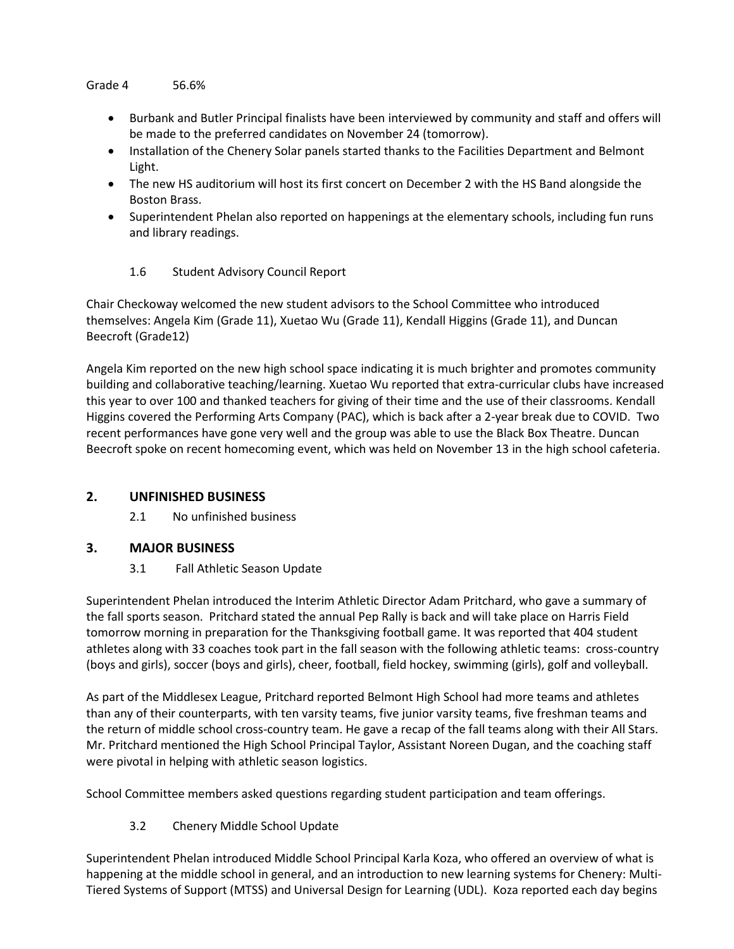#### Grade 4 56.6%

- Burbank and Butler Principal finalists have been interviewed by community and staff and offers will be made to the preferred candidates on November 24 (tomorrow).
- Installation of the Chenery Solar panels started thanks to the Facilities Department and Belmont Light.
- The new HS auditorium will host its first concert on December 2 with the HS Band alongside the Boston Brass.
- Superintendent Phelan also reported on happenings at the elementary schools, including fun runs and library readings.
	- 1.6 Student Advisory Council Report

Chair Checkoway welcomed the new student advisors to the School Committee who introduced themselves: Angela Kim (Grade 11), Xuetao Wu (Grade 11), Kendall Higgins (Grade 11), and Duncan Beecroft (Grade12)

Angela Kim reported on the new high school space indicating it is much brighter and promotes community building and collaborative teaching/learning. Xuetao Wu reported that extra-curricular clubs have increased this year to over 100 and thanked teachers for giving of their time and the use of their classrooms. Kendall Higgins covered the Performing Arts Company (PAC), which is back after a 2-year break due to COVID. Two recent performances have gone very well and the group was able to use the Black Box Theatre. Duncan Beecroft spoke on recent homecoming event, which was held on November 13 in the high school cafeteria.

## **2. UNFINISHED BUSINESS**

2.1 No unfinished business

## **3. MAJOR BUSINESS**

3.1 Fall Athletic Season Update

Superintendent Phelan introduced the Interim Athletic Director Adam Pritchard, who gave a summary of the fall sports season. Pritchard stated the annual Pep Rally is back and will take place on Harris Field tomorrow morning in preparation for the Thanksgiving football game. It was reported that 404 student athletes along with 33 coaches took part in the fall season with the following athletic teams: cross-country (boys and girls), soccer (boys and girls), cheer, football, field hockey, swimming (girls), golf and volleyball.

As part of the Middlesex League, Pritchard reported Belmont High School had more teams and athletes than any of their counterparts, with ten varsity teams, five junior varsity teams, five freshman teams and the return of middle school cross-country team. He gave a recap of the fall teams along with their All Stars. Mr. Pritchard mentioned the High School Principal Taylor, Assistant Noreen Dugan, and the coaching staff were pivotal in helping with athletic season logistics.

School Committee members asked questions regarding student participation and team offerings.

3.2 Chenery Middle School Update

Superintendent Phelan introduced Middle School Principal Karla Koza, who offered an overview of what is happening at the middle school in general, and an introduction to new learning systems for Chenery: Multi-Tiered Systems of Support (MTSS) and Universal Design for Learning (UDL). Koza reported each day begins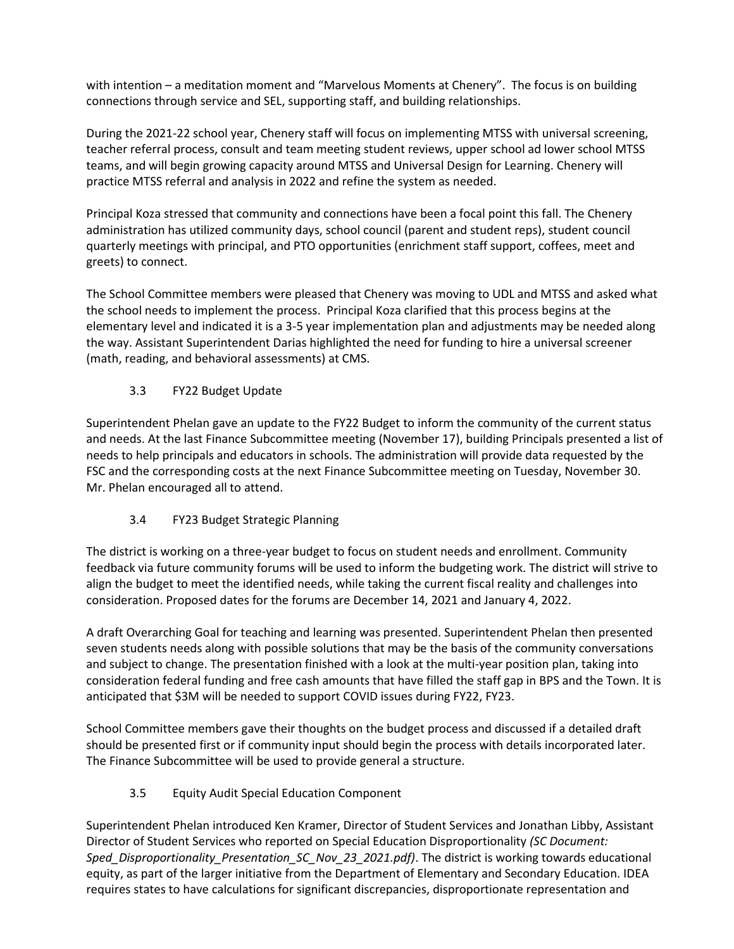with intention – a meditation moment and "Marvelous Moments at Chenery". The focus is on building connections through service and SEL, supporting staff, and building relationships.

During the 2021-22 school year, Chenery staff will focus on implementing MTSS with universal screening, teacher referral process, consult and team meeting student reviews, upper school ad lower school MTSS teams, and will begin growing capacity around MTSS and Universal Design for Learning. Chenery will practice MTSS referral and analysis in 2022 and refine the system as needed.

Principal Koza stressed that community and connections have been a focal point this fall. The Chenery administration has utilized community days, school council (parent and student reps), student council quarterly meetings with principal, and PTO opportunities (enrichment staff support, coffees, meet and greets) to connect.

The School Committee members were pleased that Chenery was moving to UDL and MTSS and asked what the school needs to implement the process. Principal Koza clarified that this process begins at the elementary level and indicated it is a 3-5 year implementation plan and adjustments may be needed along the way. Assistant Superintendent Darias highlighted the need for funding to hire a universal screener (math, reading, and behavioral assessments) at CMS.

## 3.3 FY22 Budget Update

Superintendent Phelan gave an update to the FY22 Budget to inform the community of the current status and needs. At the last Finance Subcommittee meeting (November 17), building Principals presented a list of needs to help principals and educators in schools. The administration will provide data requested by the FSC and the corresponding costs at the next Finance Subcommittee meeting on Tuesday, November 30. Mr. Phelan encouraged all to attend.

## 3.4 FY23 Budget Strategic Planning

The district is working on a three-year budget to focus on student needs and enrollment. Community feedback via future community forums will be used to inform the budgeting work. The district will strive to align the budget to meet the identified needs, while taking the current fiscal reality and challenges into consideration. Proposed dates for the forums are December 14, 2021 and January 4, 2022.

A draft Overarching Goal for teaching and learning was presented. Superintendent Phelan then presented seven students needs along with possible solutions that may be the basis of the community conversations and subject to change. The presentation finished with a look at the multi-year position plan, taking into consideration federal funding and free cash amounts that have filled the staff gap in BPS and the Town. It is anticipated that \$3M will be needed to support COVID issues during FY22, FY23.

School Committee members gave their thoughts on the budget process and discussed if a detailed draft should be presented first or if community input should begin the process with details incorporated later. The Finance Subcommittee will be used to provide general a structure.

## 3.5 Equity Audit Special Education Component

Superintendent Phelan introduced Ken Kramer, Director of Student Services and Jonathan Libby, Assistant Director of Student Services who reported on Special Education Disproportionality *(SC Document: Sped\_Disproportionality\_Presentation\_SC\_Nov\_23\_2021.pdf)*. The district is working towards educational equity, as part of the larger initiative from the Department of Elementary and Secondary Education. IDEA requires states to have calculations for significant discrepancies, disproportionate representation and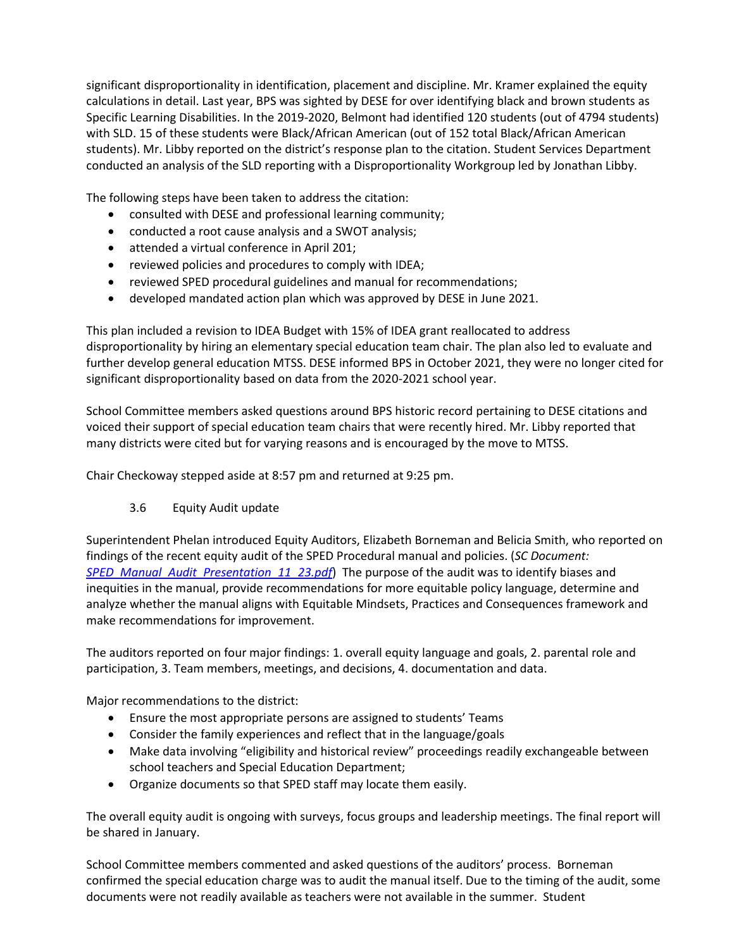significant disproportionality in identification, placement and discipline. Mr. Kramer explained the equity calculations in detail. Last year, BPS was sighted by DESE for over identifying black and brown students as Specific Learning Disabilities. In the 2019-2020, Belmont had identified 120 students (out of 4794 students) with SLD. 15 of these students were Black/African American (out of 152 total Black/African American students). Mr. Libby reported on the district's response plan to the citation. Student Services Department conducted an analysis of the SLD reporting with a Disproportionality Workgroup led by Jonathan Libby.

The following steps have been taken to address the citation:

- consulted with DESE and professional learning community;
- conducted a root cause analysis and a SWOT analysis;
- attended a virtual conference in April 201;
- reviewed policies and procedures to comply with IDEA;
- reviewed SPED procedural guidelines and manual for recommendations;
- developed mandated action plan which was approved by DESE in June 2021.

This plan included a revision to IDEA Budget with 15% of IDEA grant reallocated to address disproportionality by hiring an elementary special education team chair. The plan also led to evaluate and further develop general education MTSS. DESE informed BPS in October 2021, they were no longer cited for significant disproportionality based on data from the 2020-2021 school year.

School Committee members asked questions around BPS historic record pertaining to DESE citations and voiced their support of special education team chairs that were recently hired. Mr. Libby reported that many districts were cited but for varying reasons and is encouraged by the move to MTSS.

Chair Checkoway stepped aside at 8:57 pm and returned at 9:25 pm.

## 3.6 Equity Audit update

Superintendent Phelan introduced Equity Auditors, Elizabeth Borneman and Belicia Smith, who reported on findings of the recent equity audit of the SPED Procedural manual and policies. (*SC Document: [SPED\\_Manual\\_Audit\\_Presentation\\_11\\_23.pdf](https://www.belmont.k12.ma.us/bps/Portals/0/docs/scpublicdocuments/2021-22/SPED_Manual_Audit_Presentation_11_23.pdf)*) The purpose of the audit was to identify biases and inequities in the manual, provide recommendations for more equitable policy language, determine and analyze whether the manual aligns with Equitable Mindsets, Practices and Consequences framework and make recommendations for improvement.

The auditors reported on four major findings: 1. overall equity language and goals, 2. parental role and participation, 3. Team members, meetings, and decisions, 4. documentation and data.

Major recommendations to the district:

- Ensure the most appropriate persons are assigned to students' Teams
- Consider the family experiences and reflect that in the language/goals
- Make data involving "eligibility and historical review" proceedings readily exchangeable between school teachers and Special Education Department;
- Organize documents so that SPED staff may locate them easily.

The overall equity audit is ongoing with surveys, focus groups and leadership meetings. The final report will be shared in January.

School Committee members commented and asked questions of the auditors' process. Borneman confirmed the special education charge was to audit the manual itself. Due to the timing of the audit, some documents were not readily available as teachers were not available in the summer. Student